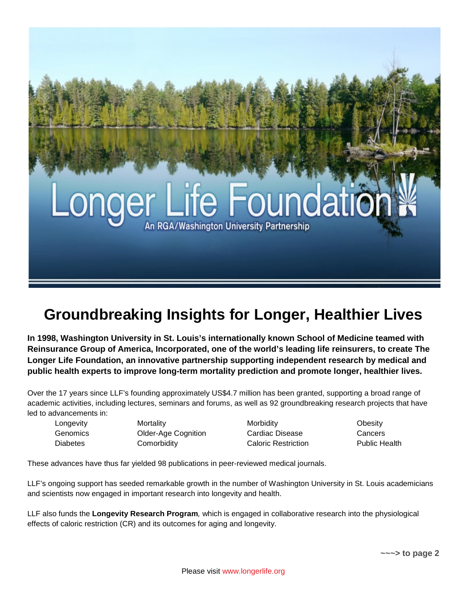## **life** Foundat An RGA/Washington University Partnership

## **Groundbreaking Insights for Longer, Healthier Lives**

**In 1998, Washington University in St. Louis's internationally known School of Medicine teamed with Reinsurance Group of America, Incorporated, one of the world's leading life reinsurers, to create The Longer Life Foundation, an innovative partnership supporting independent research by medical and public health experts to improve long-term mortality prediction and promote longer, healthier lives.**

Over the 17 years since LLF's founding approximately US\$4.7 million has been granted, supporting a broad range of academic activities, including lectures, seminars and forums, as well as 92 groundbreaking research projects that have led to advancements in:

Longevity **Mortality Mortality** Morbidity Morbidity Moresty Genomics Older-Age Cognition Cardiac Disease Cancers Diabetes Comorbidity Caloric Restriction Public Health

These advances have thus far yielded 98 publications in peer-reviewed medical journals.

LLF's ongoing support has seeded remarkable growth in the number of Washington University in St. Louis academicians and scientists now engaged in important research into longevity and health.

LLF also funds the **Longevity Research Program***,* which is engaged in collaborative research into the physiological effects of caloric restriction (CR) and its outcomes for aging and longevity.